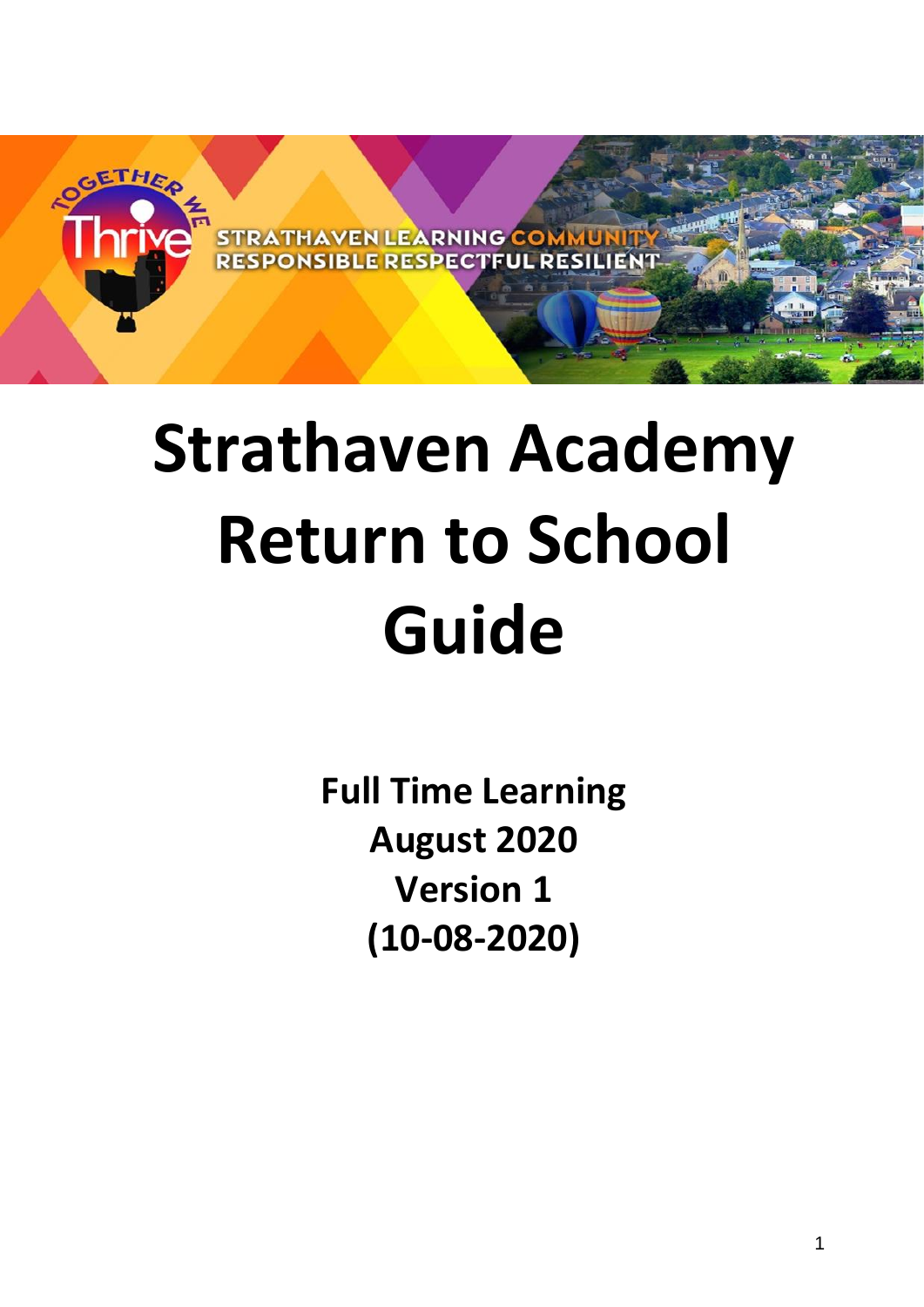

# **Strathaven Academy Return to School Guide**

**Full Time Learning August 2020 Version 1 (10-08-2020)**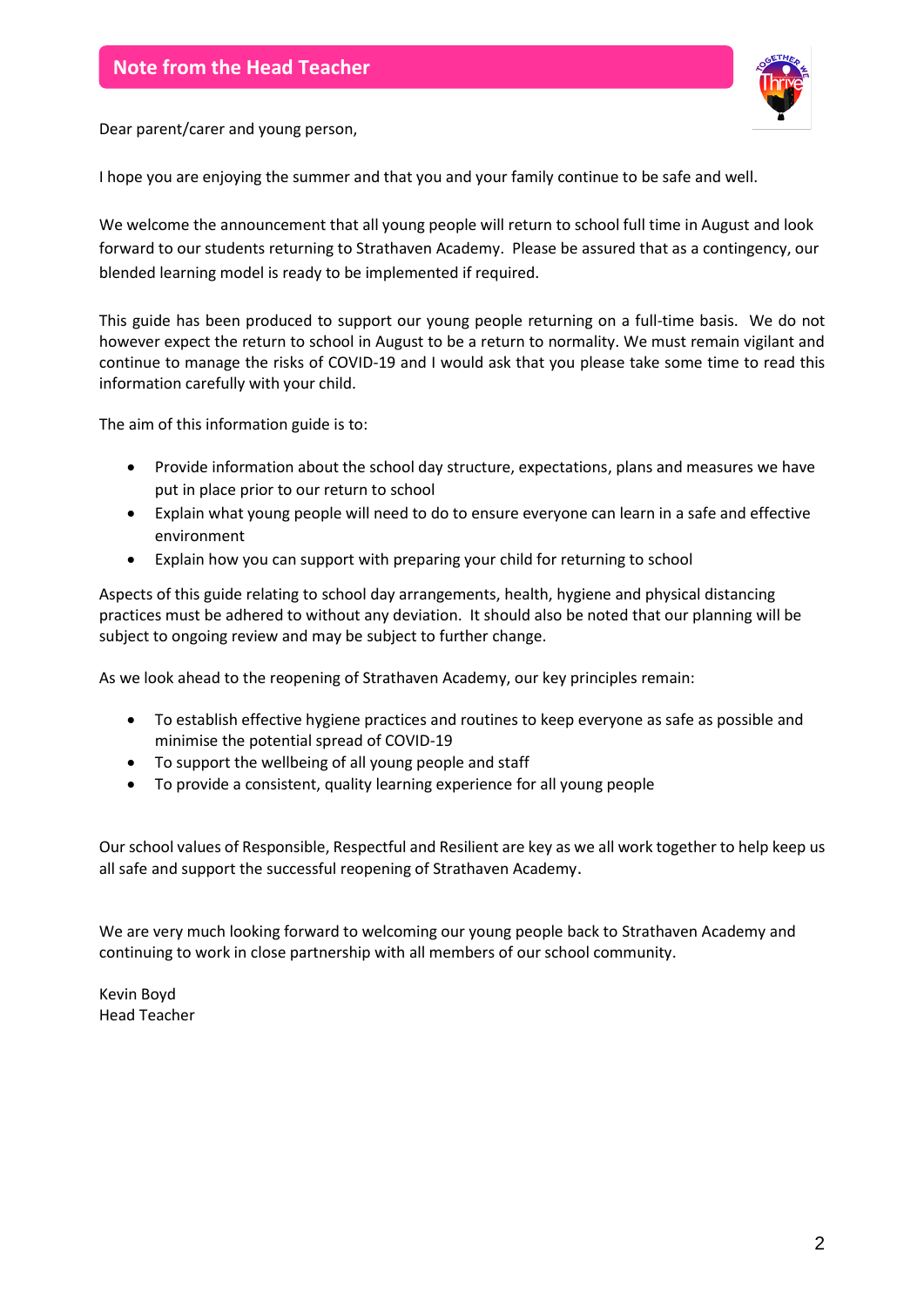

Dear parent/carer and young person,

I hope you are enjoying the summer and that you and your family continue to be safe and well.

We welcome the announcement that all young people will return to school full time in August and look forward to our students returning to Strathaven Academy. Please be assured that as a contingency, our blended learning model is ready to be implemented if required.

This guide has been produced to support our young people returning on a full-time basis. We do not however expect the return to school in August to be a return to normality. We must remain vigilant and continue to manage the risks of COVID-19 and I would ask that you please take some time to read this information carefully with your child.

The aim of this information guide is to:

- Provide information about the school day structure, expectations, plans and measures we have put in place prior to our return to school
- Explain what young people will need to do to ensure everyone can learn in a safe and effective environment
- Explain how you can support with preparing your child for returning to school

Aspects of this guide relating to school day arrangements, health, hygiene and physical distancing practices must be adhered to without any deviation. It should also be noted that our planning will be subject to ongoing review and may be subject to further change.

As we look ahead to the reopening of Strathaven Academy, our key principles remain:

- To establish effective hygiene practices and routines to keep everyone as safe as possible and minimise the potential spread of COVID-19
- To support the wellbeing of all young people and staff
- To provide a consistent, quality learning experience for all young people

Our school values of Responsible, Respectful and Resilient are key as we all work together to help keep us all safe and support the successful reopening of Strathaven Academy.

We are very much looking forward to welcoming our young people back to Strathaven Academy and continuing to work in close partnership with all members of our school community.

Kevin Boyd Head Teacher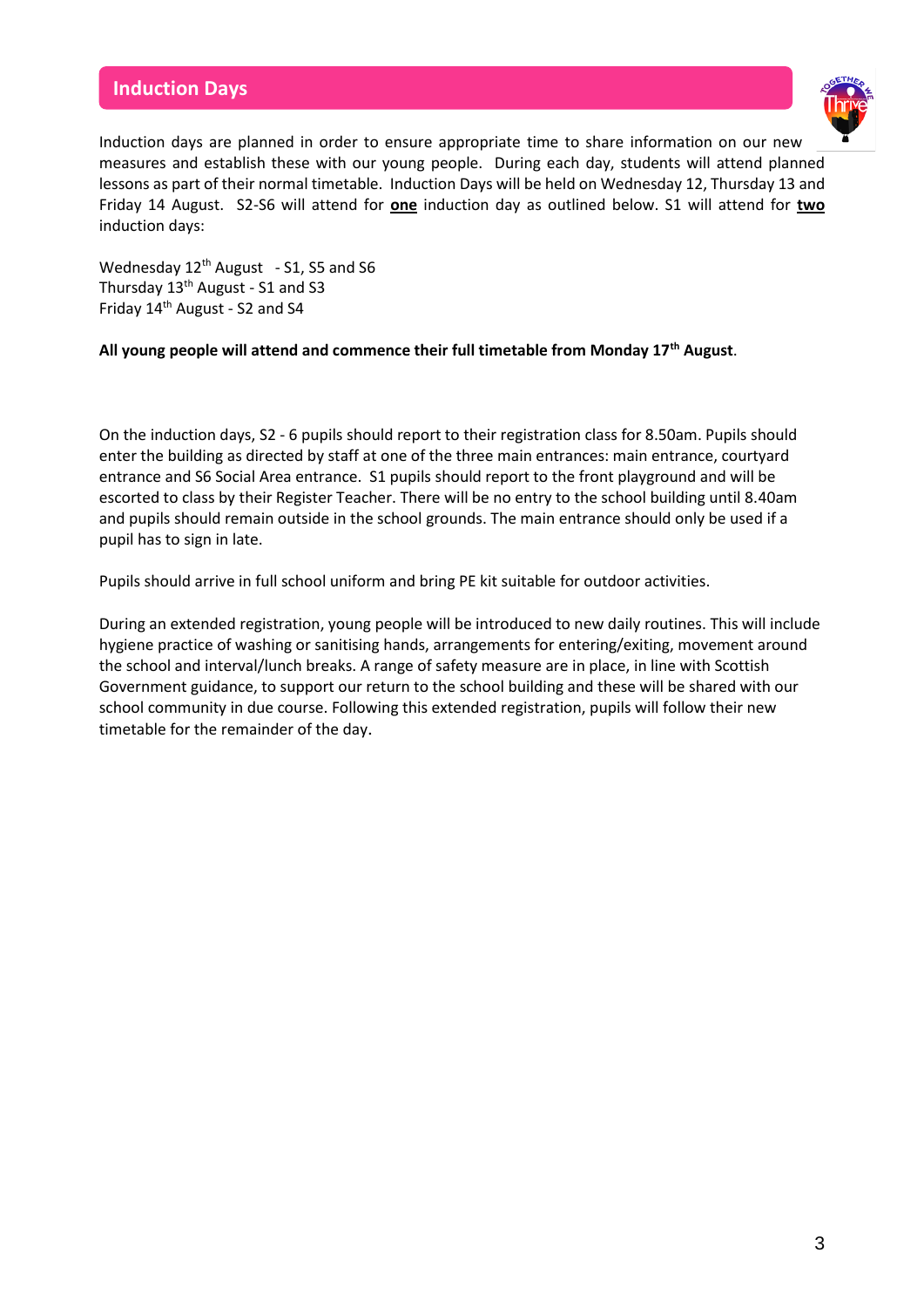## **Induction Days**



Induction days are planned in order to ensure appropriate time to share information on our new measures and establish these with our young people. During each day, students will attend planned lessons as part of their normal timetable. Induction Days will be held on Wednesday 12, Thursday 13 and Friday 14 August. S2-S6 will attend for **one** induction day as outlined below. S1 will attend for **two** induction days:

Wednesday  $12^{th}$  August - S1, S5 and S6 Thursday 13<sup>th</sup> August - S1 and S3 Friday 14th August - S2 and S4

#### **All young people will attend and commence their full timetable from Monday 17th August**.

On the induction days, S2 - 6 pupils should report to their registration class for 8.50am. Pupils should enter the building as directed by staff at one of the three main entrances: main entrance, courtyard entrance and S6 Social Area entrance. S1 pupils should report to the front playground and will be escorted to class by their Register Teacher. There will be no entry to the school building until 8.40am and pupils should remain outside in the school grounds. The main entrance should only be used if a pupil has to sign in late.

Pupils should arrive in full school uniform and bring PE kit suitable for outdoor activities.

During an extended registration, young people will be introduced to new daily routines. This will include hygiene practice of washing or sanitising hands, arrangements for entering/exiting, movement around the school and interval/lunch breaks. A range of safety measure are in place, in line with Scottish Government guidance, to support our return to the school building and these will be shared with our school community in due course. Following this extended registration, pupils will follow their new timetable for the remainder of the day.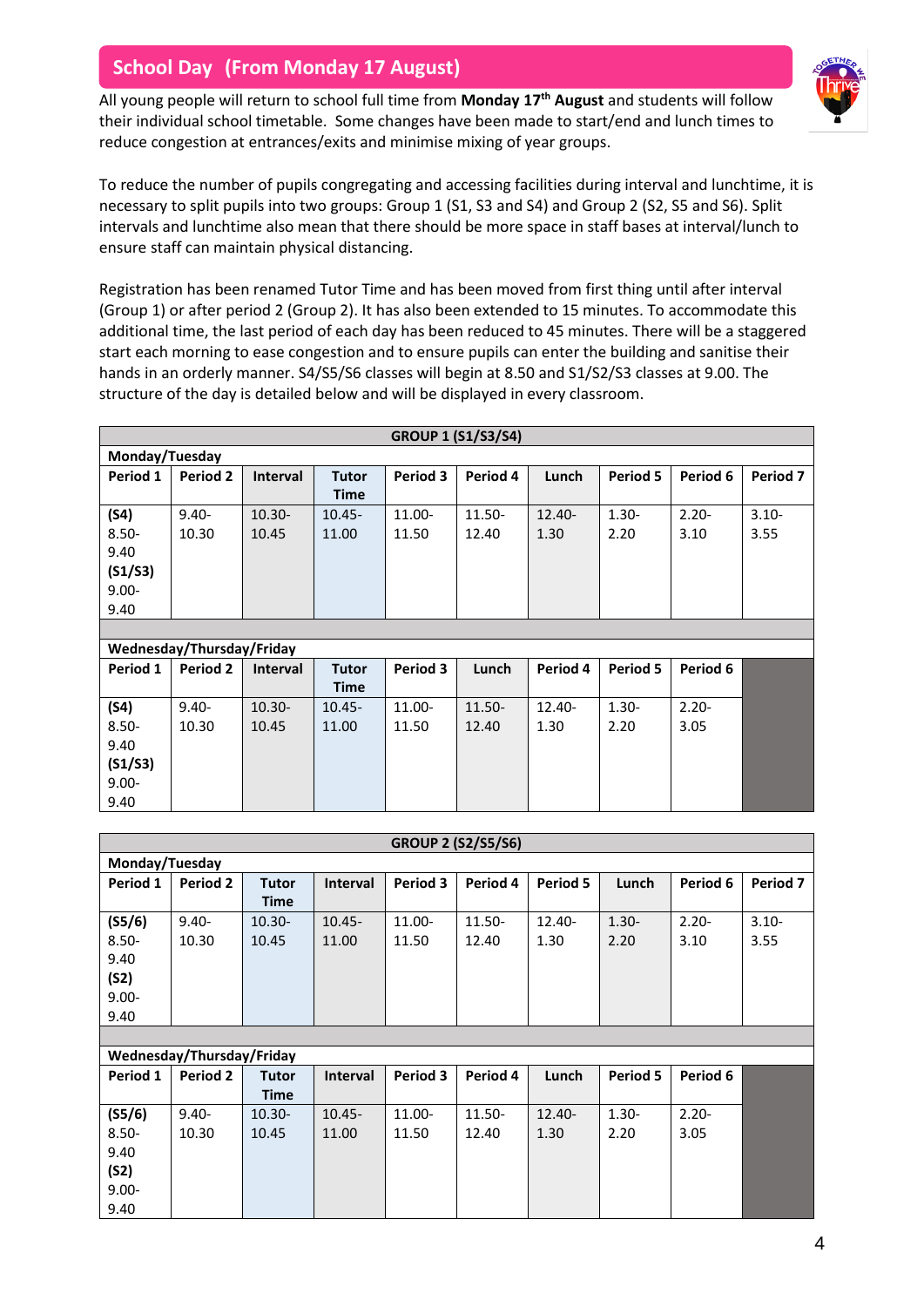## **School Day (From Monday 17 August)**

All young people will return to school full time from **Monday 17th August** and students will follow their individual school timetable. Some changes have been made to start/end and lunch times to reduce congestion at entrances/exits and minimise mixing of year groups.



To reduce the number of pupils congregating and accessing facilities during interval and lunchtime, it is necessary to split pupils into two groups: Group 1 (S1, S3 and S4) and Group 2 (S2, S5 and S6). Split intervals and lunchtime also mean that there should be more space in staff bases at interval/lunch to ensure staff can maintain physical distancing.

Registration has been renamed Tutor Time and has been moved from first thing until after interval (Group 1) or after period 2 (Group 2). It has also been extended to 15 minutes. To accommodate this additional time, the last period of each day has been reduced to 45 minutes. There will be a staggered start each morning to ease congestion and to ensure pupils can enter the building and sanitise their hands in an orderly manner. S4/S5/S6 classes will begin at 8.50 and S1/S2/S3 classes at 9.00. The structure of the day is detailed below and will be displayed in every classroom.

| <b>GROUP 1 (S1/S3/S4)</b> |                                                                                                      |           |             |        |        |           |          |          |          |
|---------------------------|------------------------------------------------------------------------------------------------------|-----------|-------------|--------|--------|-----------|----------|----------|----------|
| Monday/Tuesday            |                                                                                                      |           |             |        |        |           |          |          |          |
| Period 1                  | Period 3<br>Period 4<br>Period 5<br>Period 6<br>Period 2<br>Lunch<br><b>Interval</b><br><b>Tutor</b> |           |             |        |        |           |          |          |          |
|                           |                                                                                                      |           | <b>Time</b> |        |        |           |          |          |          |
| (S4)                      | $9.40 -$                                                                                             | $10.30 -$ | $10.45 -$   | 11.00- | 11.50- | $12.40 -$ | $1.30 -$ | $2.20 -$ | $3.10 -$ |
| $8.50 -$                  | 10.30                                                                                                | 10.45     | 11.00       | 11.50  | 12.40  | 1.30      | 2.20     | 3.10     | 3.55     |
| 9.40                      |                                                                                                      |           |             |        |        |           |          |          |          |
| (S1/S3)                   |                                                                                                      |           |             |        |        |           |          |          |          |
| $9.00 -$                  |                                                                                                      |           |             |        |        |           |          |          |          |
| 9.40                      |                                                                                                      |           |             |        |        |           |          |          |          |

| Wednesday/Thursday/Friday |          |                 |              |           |           |           |          |          |  |
|---------------------------|----------|-----------------|--------------|-----------|-----------|-----------|----------|----------|--|
| Period 1                  | Period 2 | <b>Interval</b> | <b>Tutor</b> | Period 3  | Lunch     | Period 4  | Period 5 | Period 6 |  |
|                           |          |                 | <b>Time</b>  |           |           |           |          |          |  |
| (S4)                      | $9.40 -$ | $10.30 -$       | $10.45 -$    | $11.00 -$ | $11.50 -$ | $12.40 -$ | $1.30 -$ | $2.20 -$ |  |
| $8.50 -$                  | 10.30    | 10.45           | 11.00        | 11.50     | 12.40     | 1.30      | 2.20     | 3.05     |  |
| 9.40                      |          |                 |              |           |           |           |          |          |  |
| (S1/S3)                   |          |                 |              |           |           |           |          |          |  |
| $9.00 -$                  |          |                 |              |           |           |           |          |          |  |
| 9.40                      |          |                 |              |           |           |           |          |          |  |

| <b>GROUP 2 (S2/S5/S6)</b> |          |              |                 |          |          |           |          |          |          |
|---------------------------|----------|--------------|-----------------|----------|----------|-----------|----------|----------|----------|
| Monday/Tuesday            |          |              |                 |          |          |           |          |          |          |
| Period 1                  | Period 2 | <b>Tutor</b> | <b>Interval</b> | Period 3 | Period 4 | Period 5  | Lunch    | Period 6 | Period 7 |
|                           |          | <b>Time</b>  |                 |          |          |           |          |          |          |
| (S5/6)                    | $9.40 -$ | $10.30 -$    | $10.45 -$       | 11.00-   | 11.50-   | $12.40 -$ | $1.30 -$ | $2.20 -$ | $3.10 -$ |
| $8.50 -$                  | 10.30    | 10.45        | 11.00           | 11.50    | 12.40    | 1.30      | 2.20     | 3.10     | 3.55     |
| 9.40                      |          |              |                 |          |          |           |          |          |          |
| (S2)                      |          |              |                 |          |          |           |          |          |          |
| $9.00 -$                  |          |              |                 |          |          |           |          |          |          |
| 9.40                      |          |              |                 |          |          |           |          |          |          |

| Wednesday/Thursday/Friday |          |              |                 |           |           |           |          |          |  |
|---------------------------|----------|--------------|-----------------|-----------|-----------|-----------|----------|----------|--|
| Period 1                  | Period 2 | <b>Tutor</b> | <b>Interval</b> | Period 3  | Period 4  | Lunch     | Period 5 | Period 6 |  |
|                           |          | <b>Time</b>  |                 |           |           |           |          |          |  |
| (S5/6)                    | $9.40 -$ | $10.30 -$    | $10.45 -$       | $11.00 -$ | $11.50 -$ | $12.40 -$ | $1.30 -$ | $2.20 -$ |  |
| $8.50 -$                  | 10.30    | 10.45        | 11.00           | 11.50     | 12.40     | 1.30      | 2.20     | 3.05     |  |
| 9.40                      |          |              |                 |           |           |           |          |          |  |
| (S2)                      |          |              |                 |           |           |           |          |          |  |
| $9.00 -$                  |          |              |                 |           |           |           |          |          |  |
| 9.40                      |          |              |                 |           |           |           |          |          |  |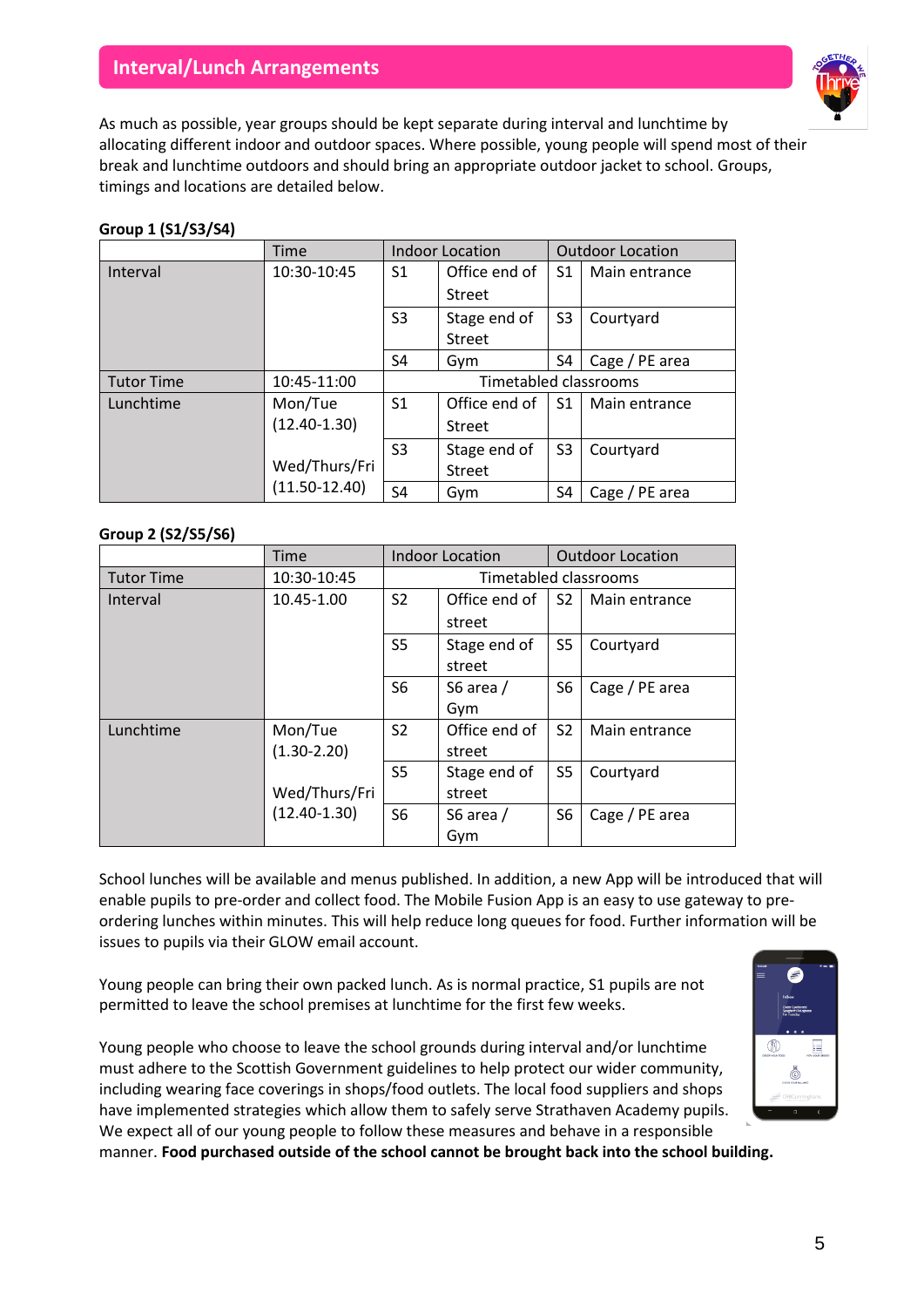## **Interval/Lunch Arrangements**



As much as possible, year groups should be kept separate during interval and lunchtime by allocating different indoor and outdoor spaces. Where possible, young people will spend most of their break and lunchtime outdoors and should bring an appropriate outdoor jacket to school. Groups, timings and locations are detailed below.

#### **Group 1 (S1/S3/S4)**

|                                                                  | Time              | <b>Indoor Location</b> |               |                | <b>Outdoor Location</b> |  |
|------------------------------------------------------------------|-------------------|------------------------|---------------|----------------|-------------------------|--|
| Interval                                                         | 10:30-10:45       | S1                     | Office end of | S1             | Main entrance           |  |
|                                                                  |                   |                        | Street        |                |                         |  |
|                                                                  |                   | S <sub>3</sub>         | Stage end of  | S <sub>3</sub> | Courtyard               |  |
|                                                                  |                   |                        | <b>Street</b> |                |                         |  |
|                                                                  |                   | S4                     | Gym           | S4             | Cage / PE area          |  |
| <b>Timetabled classrooms</b><br><b>Tutor Time</b><br>10:45-11:00 |                   |                        |               |                |                         |  |
| Lunchtime                                                        | Mon/Tue           | S <sub>1</sub>         | Office end of | S <sub>1</sub> | Main entrance           |  |
|                                                                  | $(12.40 - 1.30)$  |                        | Street        |                |                         |  |
|                                                                  |                   | S3                     | Stage end of  | S <sub>3</sub> | Courtyard               |  |
|                                                                  | Wed/Thurs/Fri     |                        | Street        |                |                         |  |
|                                                                  | $(11.50 - 12.40)$ | S <sub>4</sub>         | Gym           | S4             | Cage / PE area          |  |

#### **Group 2 (S2/S5/S6)**

|                   | Time                              | <b>Indoor Location</b> |               | <b>Outdoor Location</b> |                |  |  |
|-------------------|-----------------------------------|------------------------|---------------|-------------------------|----------------|--|--|
| <b>Tutor Time</b> | 10:30-10:45                       | Timetabled classrooms  |               |                         |                |  |  |
| Interval          | 10.45-1.00                        | S <sub>2</sub>         | Office end of | S <sub>2</sub>          | Main entrance  |  |  |
|                   |                                   |                        | street        |                         |                |  |  |
|                   |                                   | S <sub>5</sub>         | Stage end of  | S <sub>5</sub>          | Courtyard      |  |  |
|                   |                                   |                        | street        |                         |                |  |  |
|                   |                                   | S <sub>6</sub>         | S6 area /     | S <sub>6</sub>          | Cage / PE area |  |  |
|                   |                                   |                        | Gym           |                         |                |  |  |
| Lunchtime         | Mon/Tue                           | S <sub>2</sub>         | Office end of | S <sub>2</sub>          | Main entrance  |  |  |
|                   | $(1.30 - 2.20)$                   |                        | street        |                         |                |  |  |
|                   |                                   | S <sub>5</sub>         | Stage end of  | S <sub>5</sub>          | Courtyard      |  |  |
|                   | Wed/Thurs/Fri<br>$(12.40 - 1.30)$ |                        | street        |                         |                |  |  |
|                   |                                   | S <sub>6</sub>         | S6 area /     | S <sub>6</sub>          | Cage / PE area |  |  |
|                   |                                   |                        | Gym           |                         |                |  |  |

School lunches will be available and menus published. In addition, a new App will be introduced that will enable pupils to pre-order and collect food. The Mobile Fusion App is an easy to use gateway to preordering lunches within minutes. This will help reduce long queues for food. Further information will be issues to pupils via their GLOW email account.

Young people can bring their own packed lunch. As is normal practice, S1 pupils are not permitted to leave the school premises at lunchtime for the first few weeks.

Young people who choose to leave the school grounds during interval and/or lunchtime must adhere to the Scottish Government guidelines to help protect our wider community, including wearing face coverings in shops/food outlets. The local food suppliers and shops have implemented strategies which allow them to safely serve Strathaven Academy pupils. We expect all of our young people to follow these measures and behave in a responsible

manner. **Food purchased outside of the school cannot be brought back into the school building.**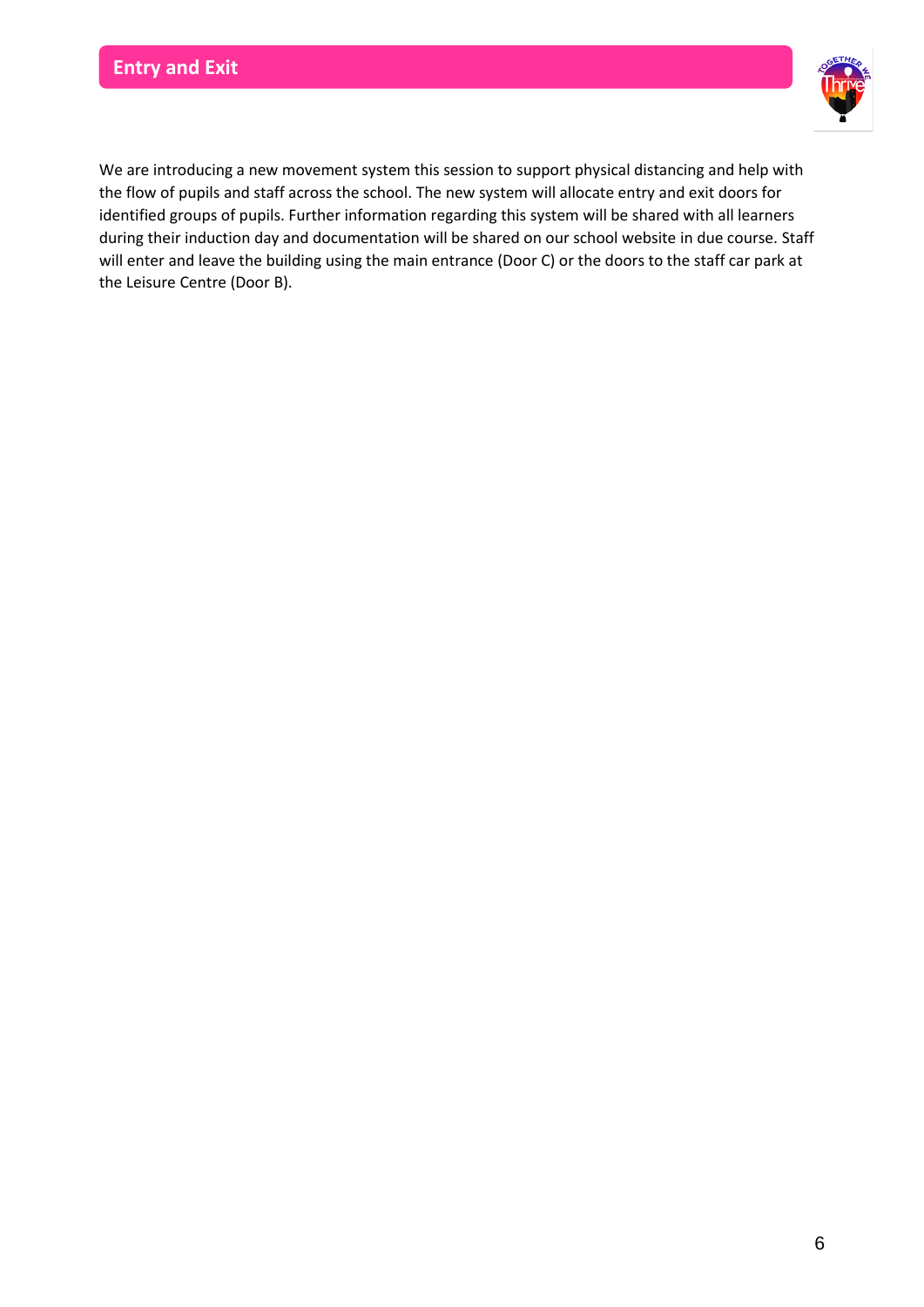

We are introducing a new movement system this session to support physical distancing and help with the flow of pupils and staff across the school. The new system will allocate entry and exit doors for identified groups of pupils. Further information regarding this system will be shared with all learners during their induction day and documentation will be shared on our school website in due course. Staff will enter and leave the building using the main entrance (Door C) or the doors to the staff car park at the Leisure Centre (Door B).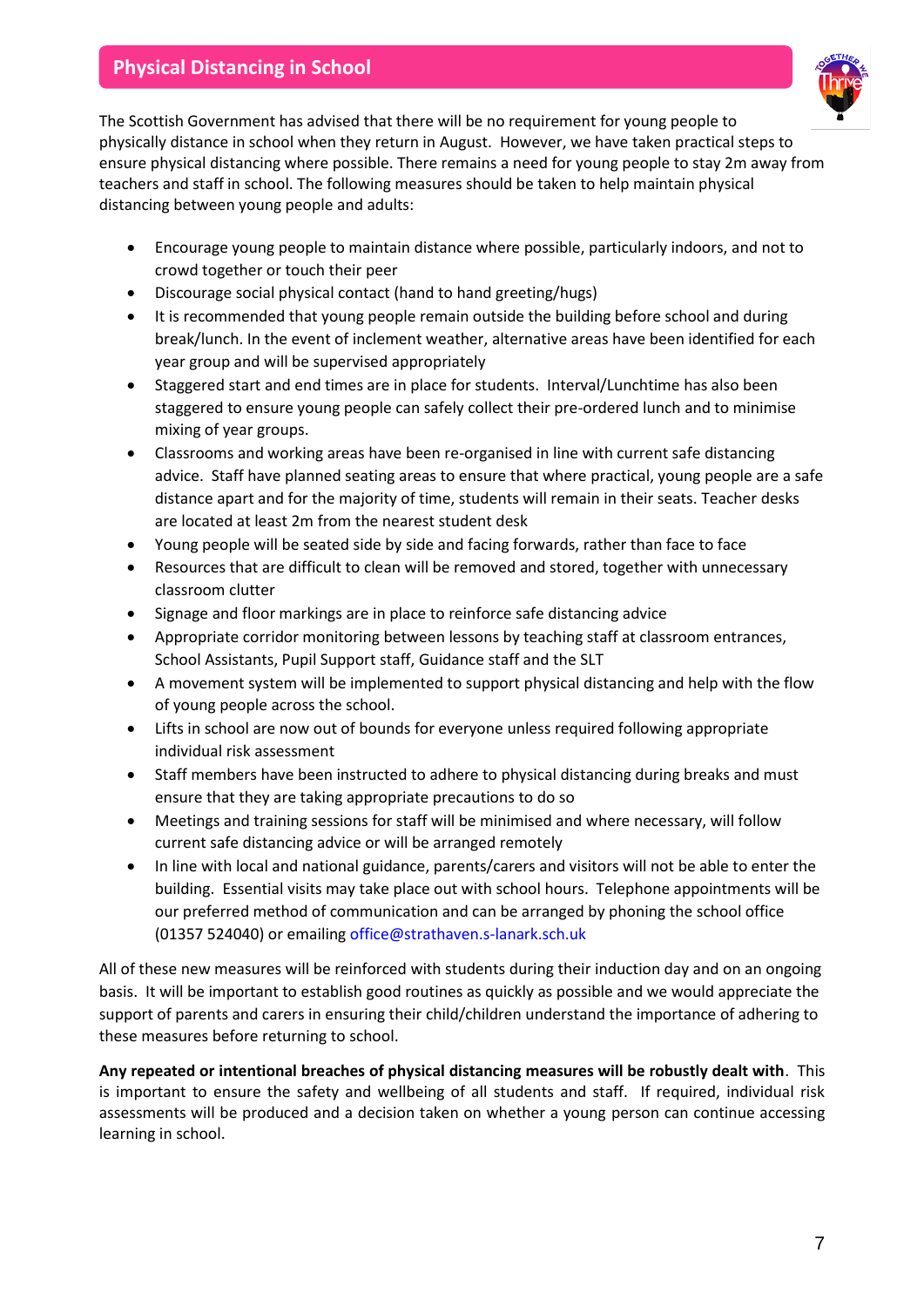## **Physical Distancing in School**



The Scottish Government has advised that there will be no requirement for young people to physically distance in school when they return in August. However, we have taken practical steps to ensure physical distancing where possible. There remains a need for young people to stay 2m away from teachers and staff in school. The following measures should be taken to help maintain physical distancing between young people and adults:

- Encourage young people to maintain distance where possible, particularly indoors, and not to crowd together or touch their peer
- Discourage social physical contact (hand to hand greeting/hugs)
- It is recommended that young people remain outside the building before school and during break/lunch. In the event of inclement weather, alternative areas have been identified for each year group and will be supervised appropriately
- Staggered start and end times are in place for students. Interval/Lunchtime has also been staggered to ensure young people can safely collect their pre-ordered lunch and to minimise mixing of year groups.
- Classrooms and working areas have been re-organised in line with current safe distancing advice. Staff have planned seating areas to ensure that where practical, young people are a safe distance apart and for the majority of time, students will remain in their seats. Teacher desks are located at least 2m from the nearest student desk
- Young people will be seated side by side and facing forwards, rather than face to face
- Resources that are difficult to clean will be removed and stored, together with unnecessary classroom clutter
- Signage and floor markings are in place to reinforce safe distancing advice
- Appropriate corridor monitoring between lessons by teaching staff at classroom entrances, School Assistants, Pupil Support staff, Guidance staff and the SLT
- A movement system will be implemented to support physical distancing and help with the flow of young people across the school.
- Lifts in school are now out of bounds for everyone unless required following appropriate individual risk assessment
- Staff members have been instructed to adhere to physical distancing during breaks and must ensure that they are taking appropriate precautions to do so
- Meetings and training sessions for staff will be minimised and where necessary, will follow current safe distancing advice or will be arranged remotely
- In line with local and national guidance, parents/carers and visitors will not be able to enter the building.Essential visits may take place out with school hours. Telephone appointments will be our preferred method of communication and can be arranged by phoning the school office (01357 524040) or emailin[g office@strathaven.s-lanark.sch.uk](mailto:office@strathaven.s-lanark.sch.uk)

All of these new measures will be reinforced with students during their induction day and on an ongoing basis. It will be important to establish good routines as quickly as possible and we would appreciate the support of parents and carers in ensuring their child/children understand the importance of adhering to these measures before returning to school.

**Any repeated or intentional breaches of physical distancing measures will be robustly dealt with**. This is important to ensure the safety and wellbeing of all students and staff. If required, individual risk assessments will be produced and a decision taken on whether a young person can continue accessing learning in school.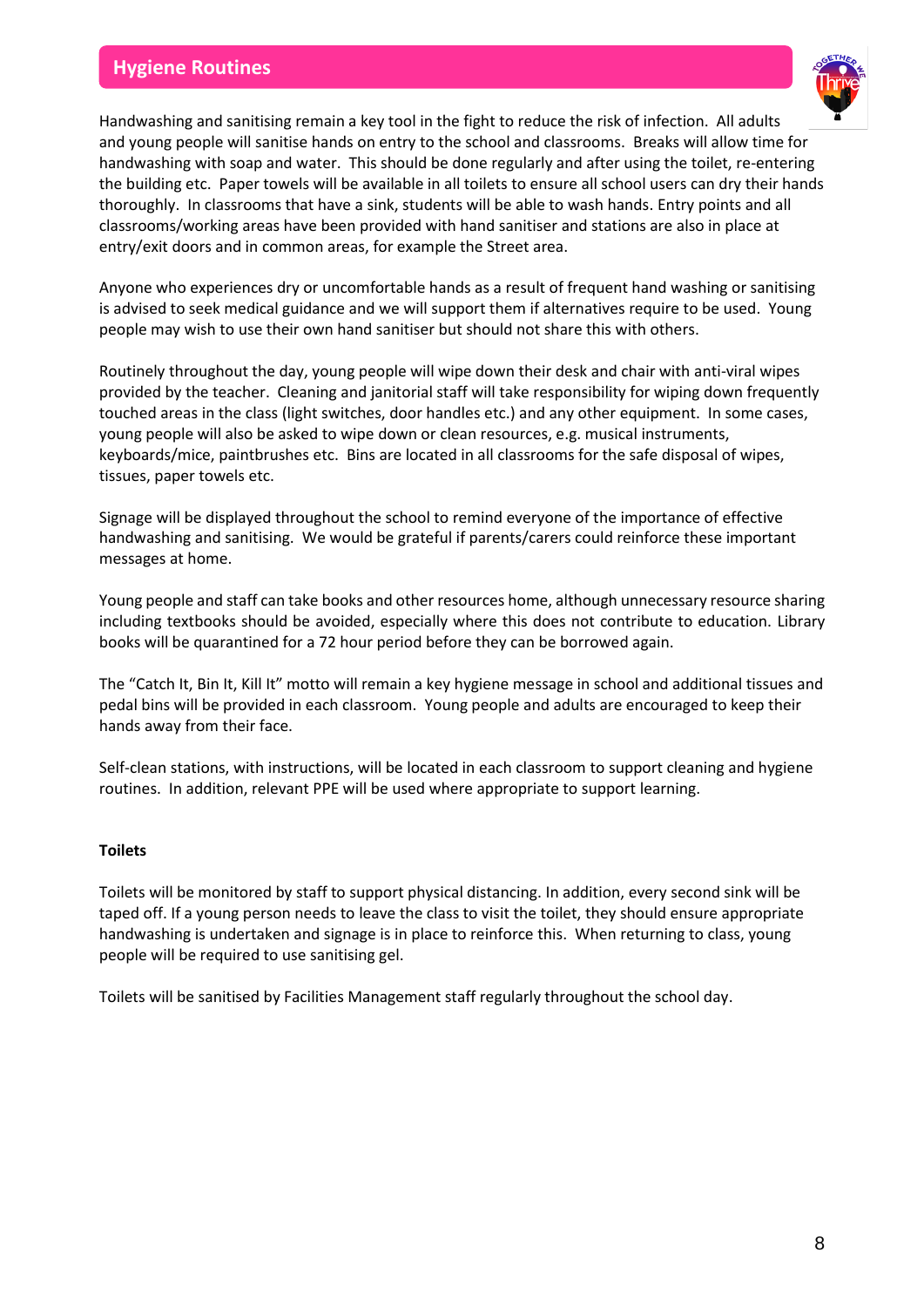## **Hygiene Routines**



Handwashing and sanitising remain a key tool in the fight to reduce the risk of infection. All adults and young people will sanitise hands on entry to the school and classrooms. Breaks will allow time for handwashing with soap and water. This should be done regularly and after using the toilet, re-entering the building etc. Paper towels will be available in all toilets to ensure all school users can dry their hands thoroughly. In classrooms that have a sink, students will be able to wash hands. Entry points and all classrooms/working areas have been provided with hand sanitiser and stations are also in place at entry/exit doors and in common areas, for example the Street area.

Anyone who experiences dry or uncomfortable hands as a result of frequent hand washing or sanitising is advised to seek medical guidance and we will support them if alternatives require to be used. Young people may wish to use their own hand sanitiser but should not share this with others.

Routinely throughout the day, young people will wipe down their desk and chair with anti-viral wipes provided by the teacher. Cleaning and janitorial staff will take responsibility for wiping down frequently touched areas in the class (light switches, door handles etc.) and any other equipment. In some cases, young people will also be asked to wipe down or clean resources, e.g. musical instruments, keyboards/mice, paintbrushes etc. Bins are located in all classrooms for the safe disposal of wipes, tissues, paper towels etc.

Signage will be displayed throughout the school to remind everyone of the importance of effective handwashing and sanitising. We would be grateful if parents/carers could reinforce these important messages at home.

Young people and staff can take books and other resources home, although unnecessary resource sharing including textbooks should be avoided, especially where this does not contribute to education. Library books will be quarantined for a 72 hour period before they can be borrowed again.

The "Catch It, Bin It, Kill It" motto will remain a key hygiene message in school and additional tissues and pedal bins will be provided in each classroom. Young people and adults are encouraged to keep their hands away from their face.

Self-clean stations, with instructions, will be located in each classroom to support cleaning and hygiene routines. In addition, relevant PPE will be used where appropriate to support learning.

#### **Toilets**

Toilets will be monitored by staff to support physical distancing. In addition, every second sink will be taped off. If a young person needs to leave the class to visit the toilet, they should ensure appropriate handwashing is undertaken and signage is in place to reinforce this. When returning to class, young people will be required to use sanitising gel.

Toilets will be sanitised by Facilities Management staff regularly throughout the school day.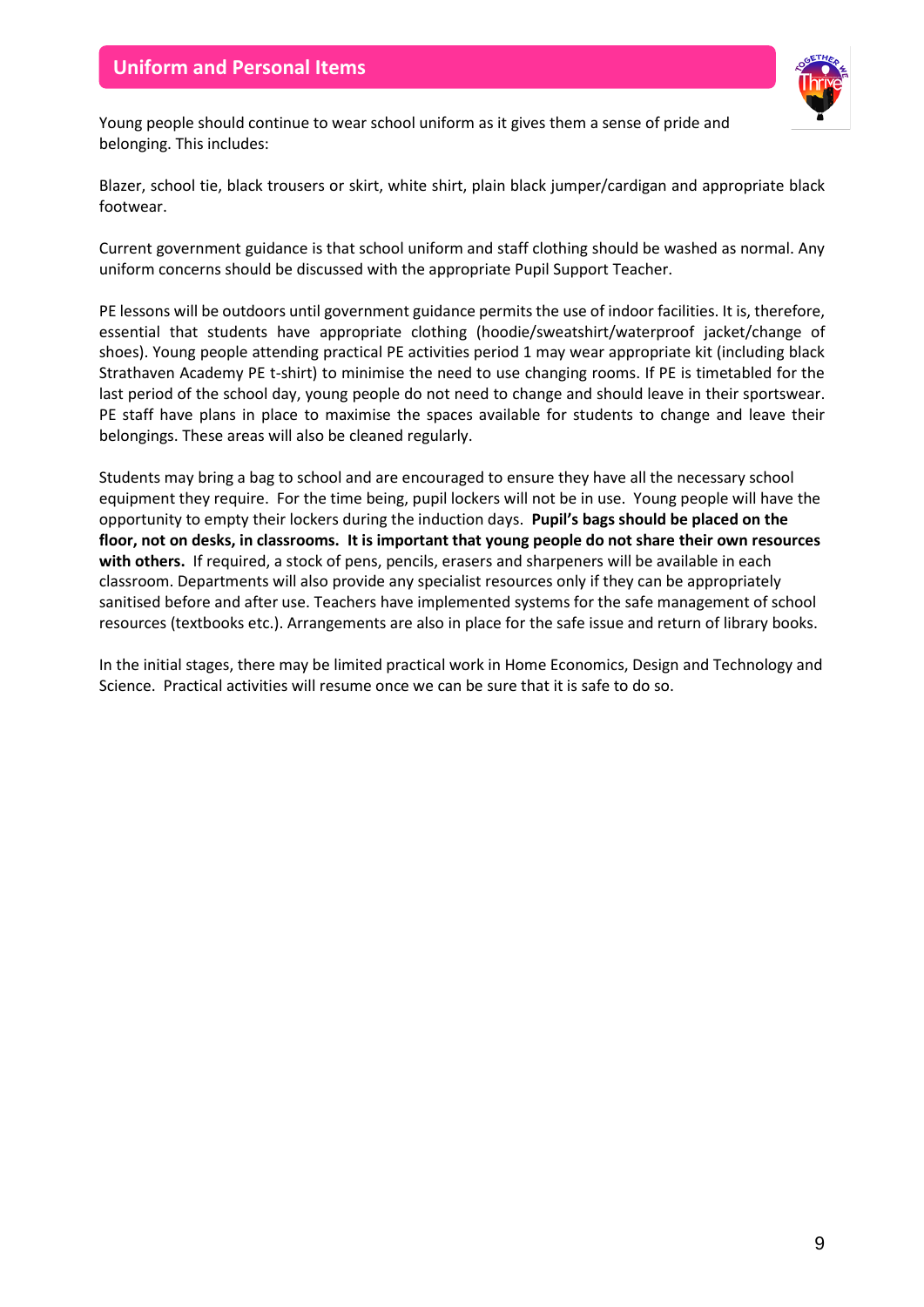

Young people should continue to wear school uniform as it gives them a sense of pride and belonging. This includes:

Blazer, school tie, black trousers or skirt, white shirt, plain black jumper/cardigan and appropriate black footwear.

Current government guidance is that school uniform and staff clothing should be washed as normal. Any uniform concerns should be discussed with the appropriate Pupil Support Teacher.

PE lessons will be outdoors until government guidance permits the use of indoor facilities. It is, therefore, essential that students have appropriate clothing (hoodie/sweatshirt/waterproof jacket/change of shoes). Young people attending practical PE activities period 1 may wear appropriate kit (including black Strathaven Academy PE t-shirt) to minimise the need to use changing rooms. If PE is timetabled for the last period of the school day, young people do not need to change and should leave in their sportswear. PE staff have plans in place to maximise the spaces available for students to change and leave their belongings. These areas will also be cleaned regularly.

Students may bring a bag to school and are encouraged to ensure they have all the necessary school equipment they require. For the time being, pupil lockers will not be in use. Young people will have the opportunity to empty their lockers during the induction days. **Pupil's bags should be placed on the floor, not on desks, in classrooms. It is important that young people do not share their own resources with others.** If required, a stock of pens, pencils, erasers and sharpeners will be available in each classroom. Departments will also provide any specialist resources only if they can be appropriately sanitised before and after use. Teachers have implemented systems for the safe management of school resources (textbooks etc.). Arrangements are also in place for the safe issue and return of library books.

In the initial stages, there may be limited practical work in Home Economics, Design and Technology and Science. Practical activities will resume once we can be sure that it is safe to do so.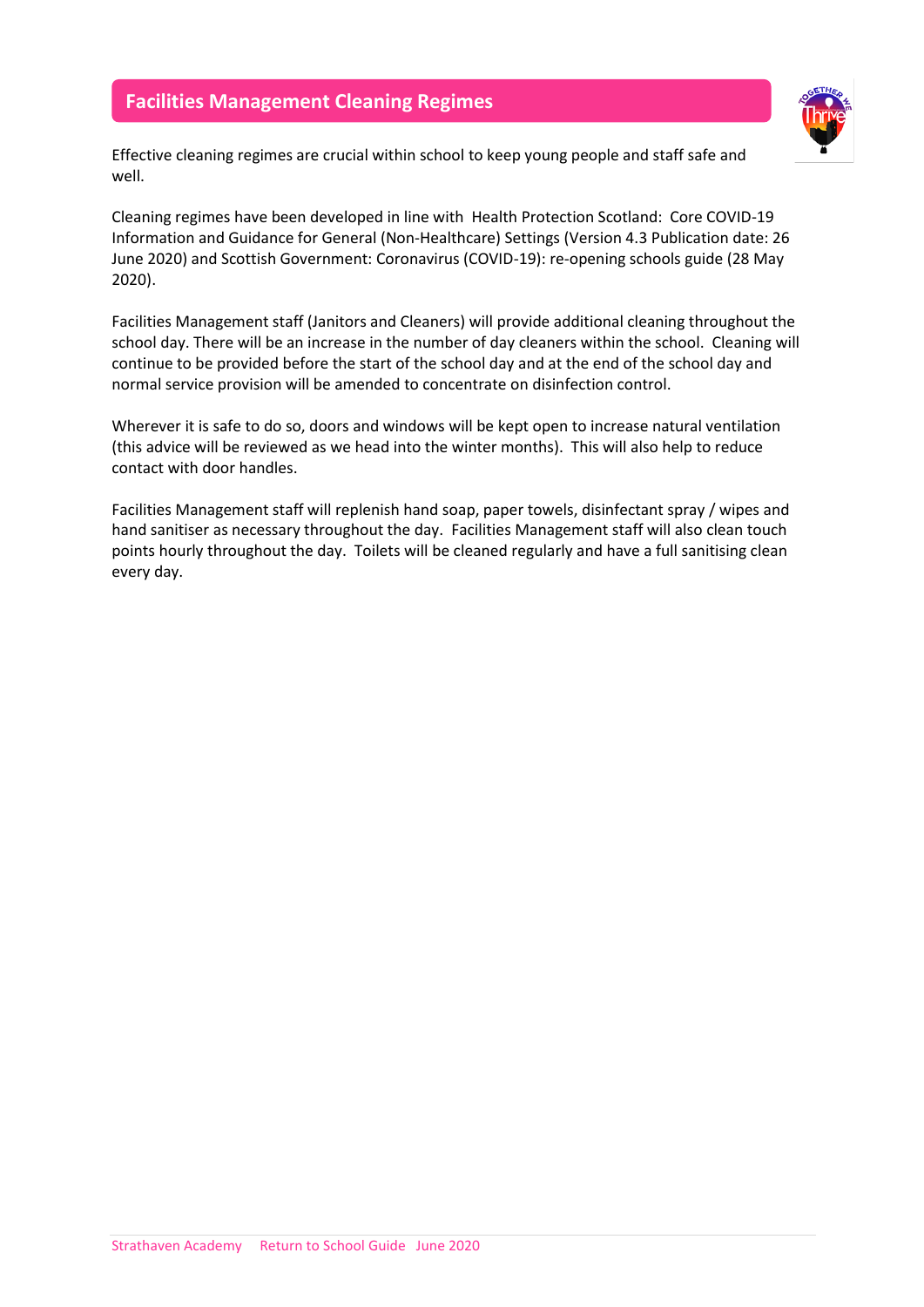## **Facilities Management Cleaning Regimes**



Effective cleaning regimes are crucial within school to keep young people and staff safe and well.

Cleaning regimes have been developed in line with [Health Protection Scotland: Core COVID-19](https://hpspubsrepo.blob.core.windows.net/hps-website/nss/2973/documents/1_covid-19-guidance-for-non-healthcare-settings.pdf)  [Information and Guidance for General \(Non-Healthcare\) Settings \(Version 4.3 Publication date: 26](https://hpspubsrepo.blob.core.windows.net/hps-website/nss/2973/documents/1_covid-19-guidance-for-non-healthcare-settings.pdf)  [June 2020\)](https://hpspubsrepo.blob.core.windows.net/hps-website/nss/2973/documents/1_covid-19-guidance-for-non-healthcare-settings.pdf) an[d Scottish Government: Coronavirus \(COVID-19\): re-opening schools guide \(28 May](https://www.gov.scot/publications/coronavirus-covid-19-re-opening-schools-guide/)  [2020\).](https://www.gov.scot/publications/coronavirus-covid-19-re-opening-schools-guide/)

Facilities Management staff (Janitors and Cleaners) will provide additional cleaning throughout the school day. There will be an increase in the number of day cleaners within the school. Cleaning will continue to be provided before the start of the school day and at the end of the school day and normal service provision will be amended to concentrate on disinfection control.

Wherever it is safe to do so, doors and windows will be kept open to increase natural ventilation (this advice will be reviewed as we head into the winter months). This will also help to reduce contact with door handles.

Facilities Management staff will replenish hand soap, paper towels, disinfectant spray / wipes and hand sanitiser as necessary throughout the day. Facilities Management staff will also clean touch points hourly throughout the day. Toilets will be cleaned regularly and have a full sanitising clean every day.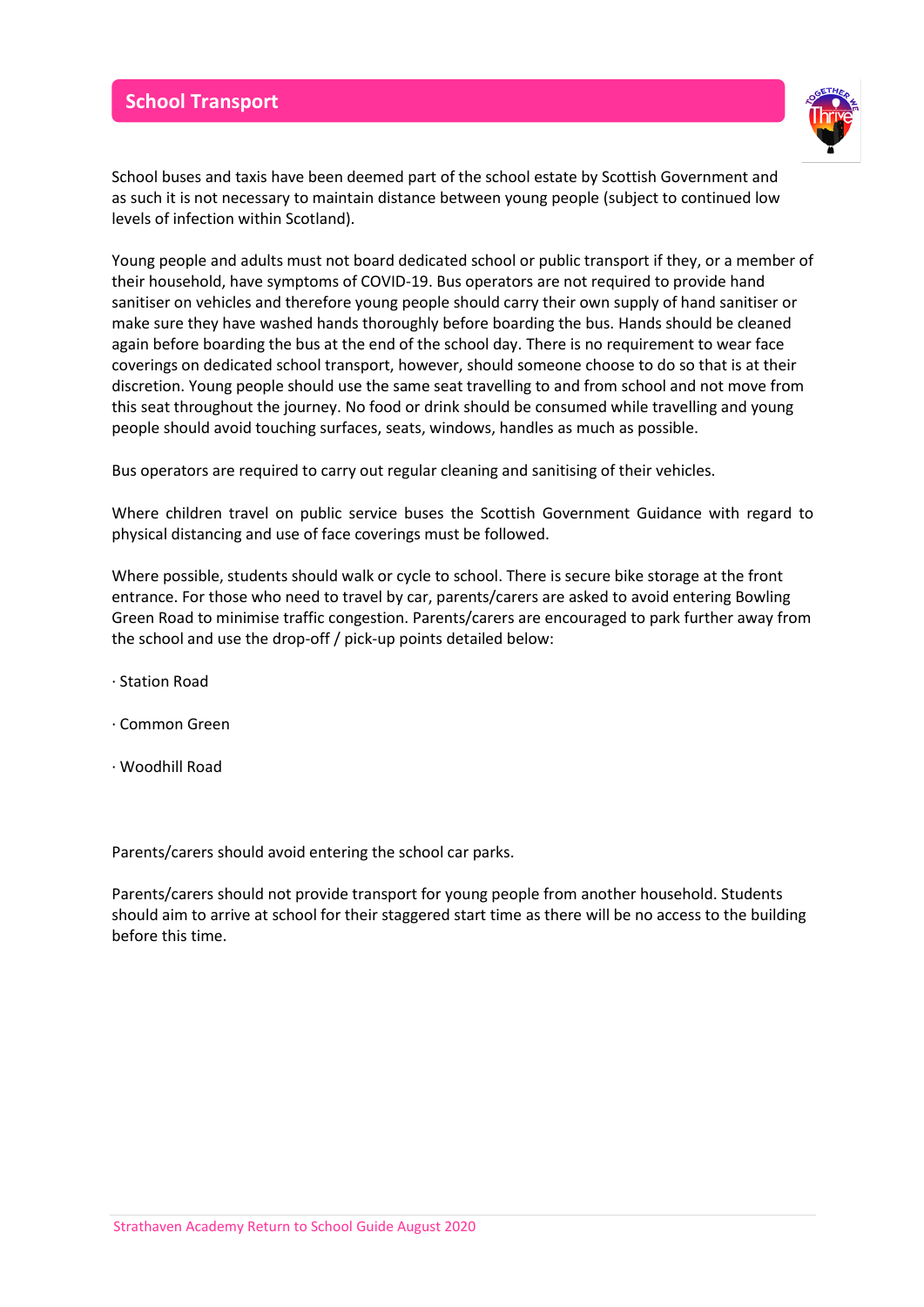## **School Transport**



School buses and taxis have been deemed part of the school estate by Scottish Government and as such it is not necessary to maintain distance between young people (subject to continued low levels of infection within Scotland).

Young people and adults must not board dedicated school or public transport if they, or a member of their household, have symptoms of COVID-19. Bus operators are not required to provide hand sanitiser on vehicles and therefore young people should carry their own supply of hand sanitiser or make sure they have washed hands thoroughly before boarding the bus. Hands should be cleaned again before boarding the bus at the end of the school day. There is no requirement to wear face coverings on dedicated school transport, however, should someone choose to do so that is at their discretion. Young people should use the same seat travelling to and from school and not move from this seat throughout the journey. No food or drink should be consumed while travelling and young people should avoid touching surfaces, seats, windows, handles as much as possible.

Bus operators are required to carry out regular cleaning and sanitising of their vehicles.

Where children travel on public service buses the Scottish Government Guidance with regard to physical distancing and use of face coverings must be followed.

Where possible, students should walk or cycle to school. There is secure bike storage at the front entrance. For those who need to travel by car, parents/carers are asked to avoid entering Bowling Green Road to minimise traffic congestion. Parents/carers are encouraged to park further away from the school and use the drop-off / pick-up points detailed below:

- · Station Road
- · Common Green
- · Woodhill Road

Parents/carers should avoid entering the school car parks.

Parents/carers should not provide transport for young people from another household. Students should aim to arrive at school for their staggered start time as there will be no access to the building before this time.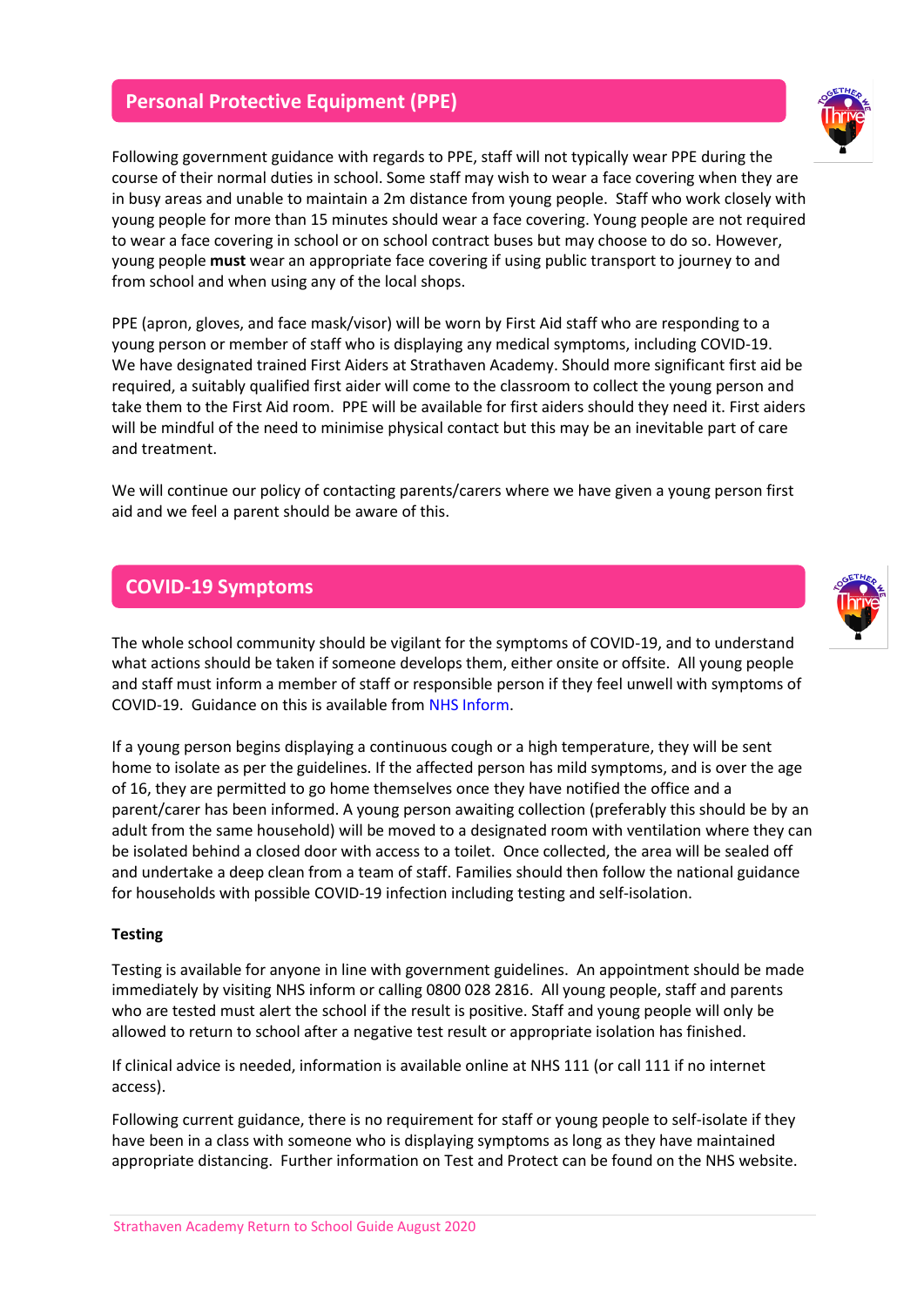#### **Personal Protective Equipment (PPE)**

Following government guidance with regards to PPE, staff will not typically wear PPE during the course of their normal duties in school. Some staff may wish to wear a face covering when they are in busy areas and unable to maintain a 2m distance from young people. Staff who work closely with young people for more than 15 minutes should wear a face covering. Young people are not required to wear a face covering in school or on school contract buses but may choose to do so. However, young people **must** wear an appropriate face covering if using public transport to journey to and from school and when using any of the local shops.

PPE (apron, gloves, and face mask/visor) will be worn by First Aid staff who are responding to a young person or member of staff who is displaying any medical symptoms, including COVID-19. We have designated trained First Aiders at Strathaven Academy. Should more significant first aid be required, a suitably qualified first aider will come to the classroom to collect the young person and take them to the First Aid room. PPE will be available for first aiders should they need it. First aiders will be mindful of the need to minimise physical contact but this may be an inevitable part of care and treatment.

We will continue our policy of contacting parents/carers where we have given a young person first aid and we feel a parent should be aware of this.

#### **COVID-19 Symptoms**

The whole school community should be vigilant for the symptoms of COVID-19, and to understand what actions should be taken if someone develops them, either onsite or offsite. All young people and staff must inform a member of staff or responsible person if they feel unwell with symptoms of COVID-19. Guidance on this is available from [NHS Inform.](https://www.nhsinform.scot/)

If a young person begins displaying a continuous cough or a high temperature, they will be sent home to isolate as per the guidelines. If the affected person has mild symptoms, and is over the age of 16, they are permitted to go home themselves once they have notified the office and a parent/carer has been informed. A young person awaiting collection (preferably this should be by an adult from the same household) will be moved to a designated room with ventilation where they can be isolated behind a closed door with access to a toilet. Once collected, the area will be sealed off and undertake a deep clean from a team of staff. Families should then follow the national guidance for households with possible COVID-19 infection including testing and self-isolation.

#### **Testing**

Testing is available for anyone in line with government guidelines. An appointment should be made immediately by visitin[g NHS inform](https://www.nhsinform.scot/) or calling 0800 028 2816. All young people, staff and parents who are tested must alert the school if the result is positive. Staff and young people will only be allowed to return to school after a negative test result or appropriate isolation has finished.

If clinical advice is needed, information is available online at NHS 111 (or call 111 if no internet access).

Following current guidance, there is no requirement for staff or young people to self-isolate if they have been in a class with someone who is displaying symptoms as long as they have maintained appropriate distancing. Further information on Test and Protect can be found on the NHS website.

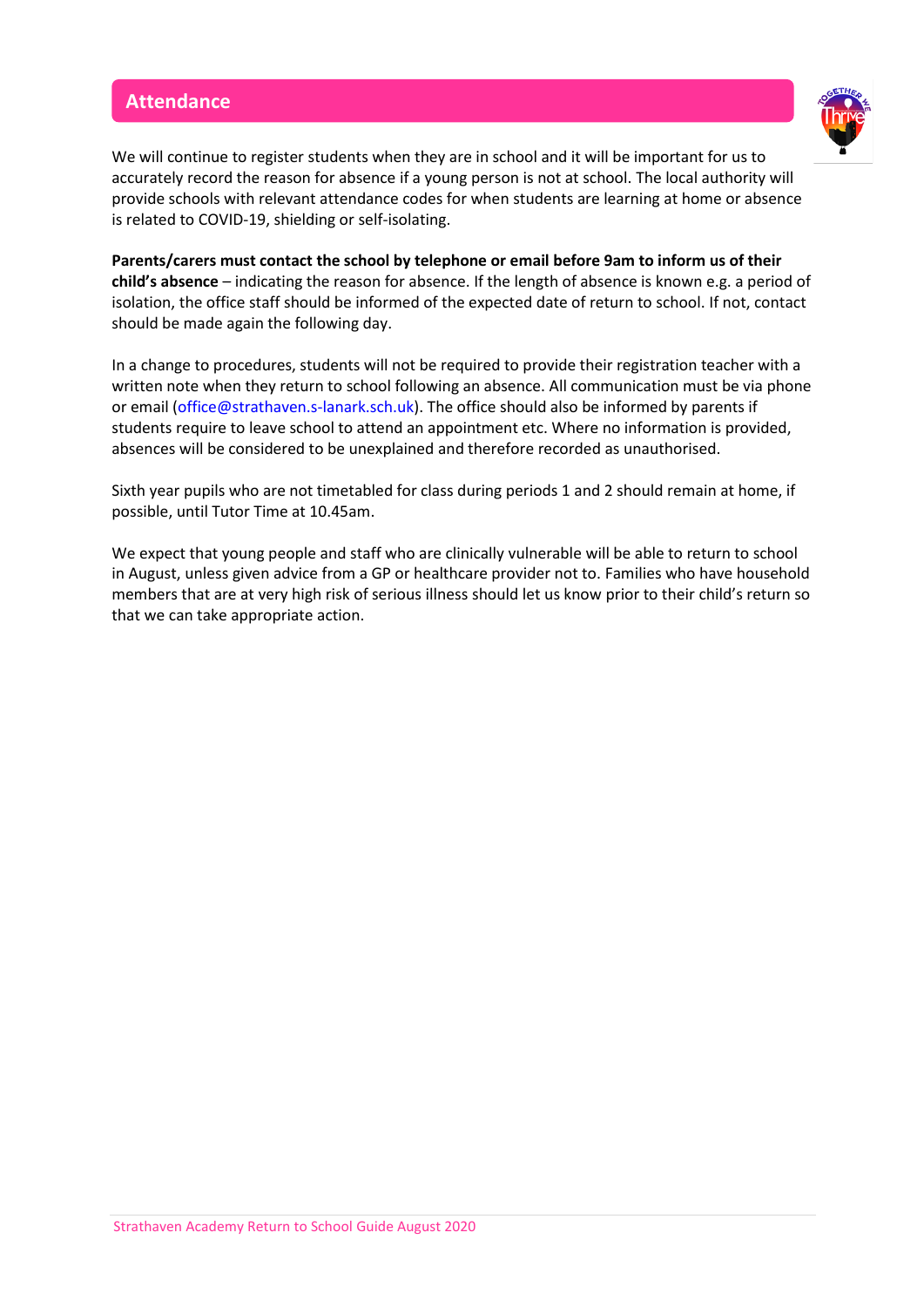#### **Attendance**



We will continue to register students when they are in school and it will be important for us to accurately record the reason for absence if a young person is not at school. The local authority will provide schools with relevant attendance codes for when students are learning at home or absence is related to COVID-19, shielding or self-isolating.

**Parents/carers must contact the school by telephone or email before 9am to inform us of their child's absence** – indicating the reason for absence. If the length of absence is known e.g. a period of isolation, the office staff should be informed of the expected date of return to school. If not, contact should be made again the following day.

In a change to procedures, students will not be required to provide their registration teacher with a written note when they return to school following an absence. All communication must be via phone or email [\(office@strathaven.s-lanark.sch.uk\)](mailto:office@strathaven.s-lanark.sch.uk). The office should also be informed by parents if students require to leave school to attend an appointment etc. Where no information is provided, absences will be considered to be unexplained and therefore recorded as unauthorised.

Sixth year pupils who are not timetabled for class during periods 1 and 2 should remain at home, if possible, until Tutor Time at 10.45am.

We expect that young people and staff who are clinically vulnerable will be able to return to school in August, unless given advice from a GP or healthcare provider not to. Families who have household members that are at very high risk of serious illness should let us know prior to their child's return so that we can take appropriate action.